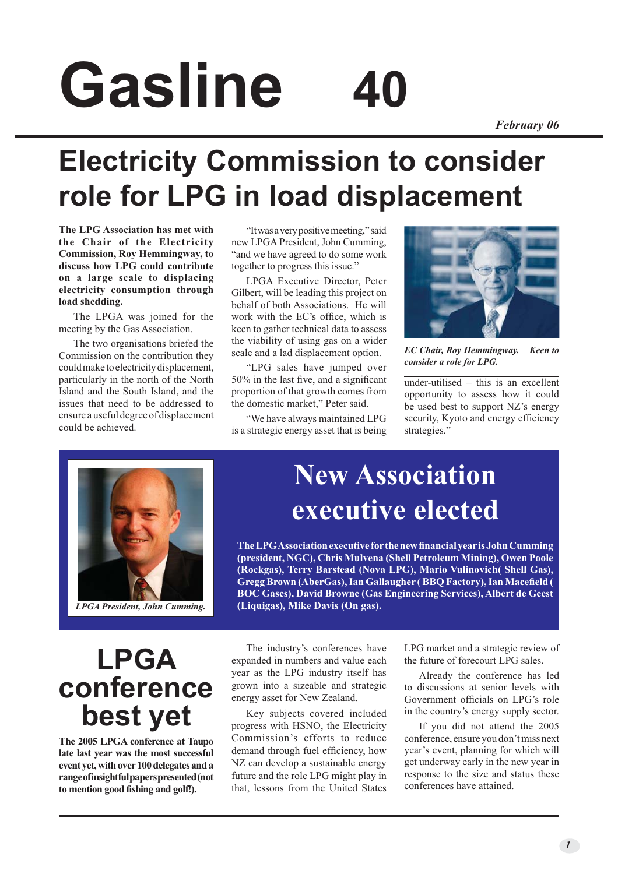# **Gasline 40**

#### *February 06*

# **Electricity Commission to consider role for LPG in load displacement**

**The LPG Association has met with the Chair of the Electricity Commission, Roy Hemmingway, to discuss how LPG could contribute on a large scale to displacing electricity consumption through load shedding.**

The LPGA was joined for the meeting by the Gas Association.

The two organisations briefed the Commission on the contribution they could make to electricity displacement, particularly in the north of the North Island and the South Island, and the issues that need to be addressed to ensure a useful degree of displacement could be achieved.

"It was a very positive meeting," said new LPGA President, John Cumming, "and we have agreed to do some work together to progress this issue."

LPGA Executive Director, Peter Gilbert, will be leading this project on behalf of both Associations. He will work with the EC's office, which is keen to gather technical data to assess the viability of using gas on a wider scale and a lad displacement option.

"LPG sales have jumped over 50% in the last five, and a significant proportion of that growth comes from the domestic market," Peter said.

"We have always maintained LPG is a strategic energy asset that is being



*EC Chair, Roy Hemmingway. Keen to consider a role for LPG.*

under-utilised – this is an excellent opportunity to assess how it could be used best to support NZ's energy security, Kyoto and energy efficiency strategies."



## **New Association executive elected**

**The LPG Association executive for the new financial year is John Cumming (president, NGC), Chris Mulvena (Shell Petroleum Mining), Owen Poole (Rockgas), Terry Barstead (Nova LPG), Mario Vulinovich( Shell Gas), Gregg Brown (AberGas), Ian Gallaugher ( BBQ Factory), Ian Macefield ( BOC Gases), David Browne (Gas Engineering Services), Albert de Geest (Liquigas), Mike Davis (On gas).**

## **LPGA conference best yet**

**The 2005 LPGA conference at Taupo late last year was the most successful event yet, with over 100 delegates and a range of insightful papers presented (not to mention good fishing and golf!).**

The industry's conferences have expanded in numbers and value each year as the LPG industry itself has grown into a sizeable and strategic energy asset for New Zealand.

Key subjects covered included progress with HSNO, the Electricity Commission's efforts to reduce demand through fuel efficiency, how NZ can develop a sustainable energy future and the role LPG might play in that, lessons from the United States LPG market and a strategic review of the future of forecourt LPG sales.

Already the conference has led to discussions at senior levels with Government officials on LPG's role in the country's energy supply sector.

If you did not attend the 2005 conference, ensure you don't miss next year's event, planning for which will get underway early in the new year in response to the size and status these conferences have attained.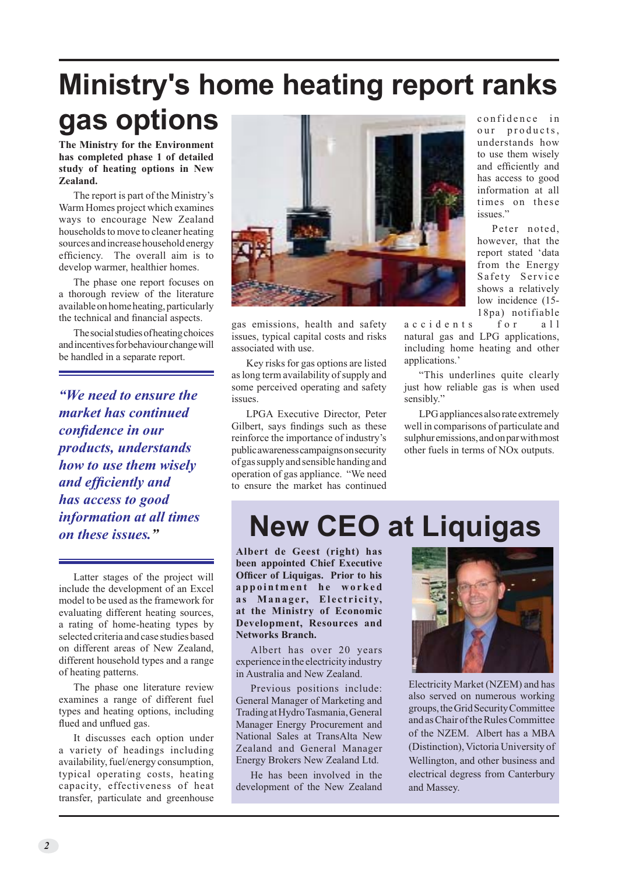#### **Ministry's home heating report ranks gas options** confidence in

**The Ministry for the Environment has completed phase 1 of detailed study of heating options in New Zealand.**

The report is part of the Ministry's Warm Homes project which examines ways to encourage New Zealand households to move to cleaner heating sources and increase household energy efficiency. The overall aim is to develop warmer, healthier homes.

The phase one report focuses on a thorough review of the literature available on home heating, particularly the technical and financial aspects.

The social studies of heating choices and incentives for behaviour change will be handled in a separate report.

*"We need to ensure the market has continued confidence in our products, understands how to use them wisely and efficiently and has access to good information at all times on these issues."*

Latter stages of the project will include the development of an Excel model to be used as the framework for evaluating different heating sources, a rating of home-heating types by selected criteria and case studies based on different areas of New Zealand, different household types and a range of heating patterns.

The phase one literature review examines a range of different fuel types and heating options, including flued and unflued gas.

It discusses each option under a variety of headings including availability, fuel/energy consumption, typical operating costs, heating capacity, effectiveness of heat transfer, particulate and greenhouse



gas emissions, health and safety issues, typical capital costs and risks associated with use.

Key risks for gas options are listed as long term availability of supply and some perceived operating and safety issues.

LPGA Executive Director, Peter Gilbert, says findings such as these reinforce the importance of industry's public awareness campaigns on security of gas supply and sensible handing and operation of gas appliance. "We need to ensure the market has continued

our products, understands how to use them wisely and efficiently and has access to good information at all times on these issues<sup>"</sup>

Peter noted, however, that the report stated 'data from the Energy Safety Service shows a relatively low incidence (15- 18pa) notifiable

accidents for all natural gas and LPG applications, including home heating and other applications.'

"This underlines quite clearly just how reliable gas is when used sensibly."

LPG appliances also rate extremely well in comparisons of particulate and sulphur emissions, and on par with most other fuels in terms of NOx outputs.

# **New CEO at Liquigas**

**Albert de Geest (right) has been appointed Chief Executive Officer of Liquigas. Prior to his a p p o i n t m e n t h e w o r k e d**  as Manager, Electricity, **at the Ministry of Economic Development, Resources and Networks Branch.**

Albert has over 20 years experience in the electricity industry in Australia and New Zealand.

Previous positions include: General Manager of Marketing and Trading at Hydro Tasmania, General Manager Energy Procurement and National Sales at TransAlta New Zealand and General Manager Energy Brokers New Zealand Ltd.

He has been involved in the development of the New Zealand



Electricity Market (NZEM) and has also served on numerous working groups, the Grid Security Committee and as Chair of the Rules Committee of the NZEM. Albert has a MBA (Distinction), Victoria University of Wellington, and other business and electrical degress from Canterbury and Massey.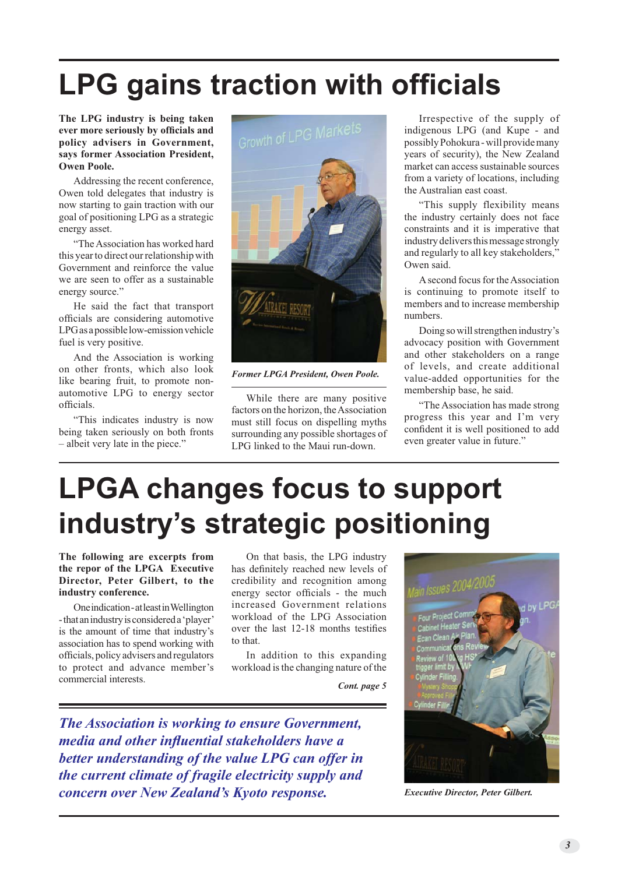# **LPG gains traction with officials**

**The LPG industry is being taken ever more seriously by officials and policy advisers in Government, says former Association President, Owen Poole.**

Addressing the recent conference, Owen told delegates that industry is now starting to gain traction with our goal of positioning LPG as a strategic energy asset.

"The Association has worked hard this year to direct our relationship with Government and reinforce the value we are seen to offer as a sustainable energy source.'

He said the fact that transport officials are considering automotive LPG as a possible low-emission vehicle fuel is very positive.

And the Association is working on other fronts, which also look like bearing fruit, to promote nonautomotive LPG to energy sector officials.

"This indicates industry is now being taken seriously on both fronts – albeit very late in the piece."



*Former LPGA President, Owen Poole.*

While there are many positive factors on the horizon, the Association must still focus on dispelling myths surrounding any possible shortages of LPG linked to the Maui run-down.

Irrespective of the supply of indigenous LPG (and Kupe - and possibly Pohokura - will provide many years of security), the New Zealand market can access sustainable sources from a variety of locations, including the Australian east coast.

"This supply flexibility means the industry certainly does not face constraints and it is imperative that industry delivers this message strongly and regularly to all key stakeholders," Owen said.

A second focus for the Association is continuing to promote itself to members and to increase membership numbers.

Doing so will strengthen industry's advocacy position with Government and other stakeholders on a range of levels, and create additional value-added opportunities for the membership base, he said.

"The Association has made strong progress this year and I'm very confident it is well positioned to add even greater value in future."

# **LPGA changes focus to support industry's strategic positioning**

**The following are excerpts from the repor of the LPGA Executive Director, Peter Gilbert, to the industry conference.**

One indication - at least in Wellington - that an industry is considered a 'player' is the amount of time that industry's association has to spend working with officials, policy advisers and regulators to protect and advance member's commercial interests.

On that basis, the LPG industry has definitely reached new levels of credibility and recognition among energy sector officials - the much increased Government relations workload of the LPG Association over the last 12-18 months testifies to that.

In addition to this expanding workload is the changing nature of the

*Cont. page 5*

*The Association is working to ensure Government, media and other influential stakeholders have a better understanding of the value LPG can offer in the current climate of fragile electricity supply and concern over New Zealand's Kyoto response. Executive Director, Peter Gilbert.*

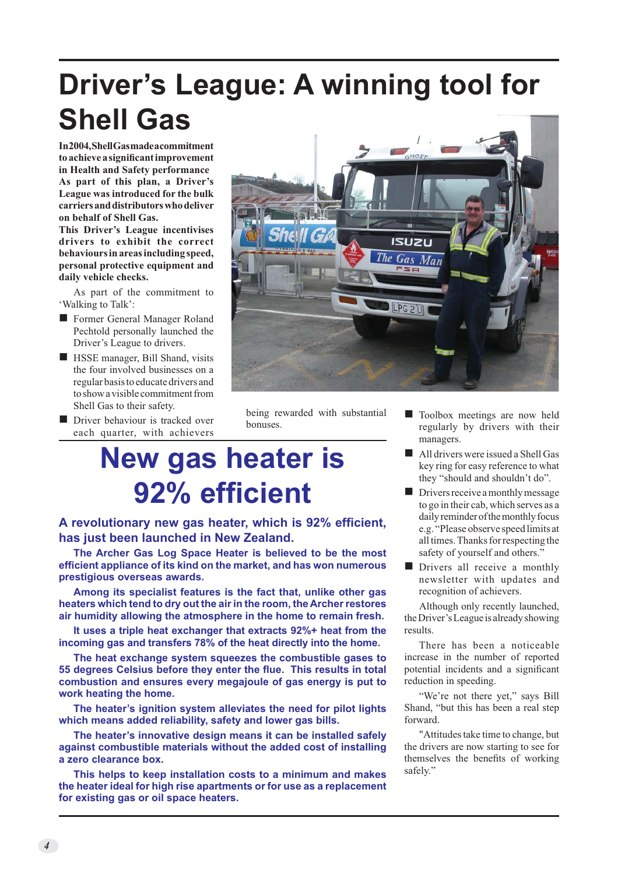# **Driver's League: A winning tool for Shell Gas**

**In 2004, Shell Gas made a commitment to achieve a significant improvement in Health and Safety performance As part of this plan, a Driver's League was introduced for the bulk carriers and distributors who deliver on behalf of Shell Gas.**

**This Driver's League incentivises drivers to exhibit the correct behaviours in areas including speed, personal protective equipment and daily vehicle checks.**

As part of the commitment to 'Walking to Talk':

- Former General Manager Roland Pechtold personally launched the Driver's League to drivers.
- **No. HSSE manager, Bill Shand, visits** the four involved businesses on a regular basis to educate drivers and to show a visible commitment from Shell Gas to their safety.
- Driver behaviour is tracked over each quarter, with achievers



being rewarded with substantial bonuses.

# **New gas heater is 92% efficient**

**A revolutionary new gas heater, which is 92% efficient, has just been launched in New Zealand.**

**The Archer Gas Log Space Heater is believed to be the most efficient appliance of its kind on the market, and has won numerous prestigious overseas awards.**

**Among its specialist features is the fact that, unlike other gas heaters which tend to dry out the air in the room, the Archer restores air humidity allowing the atmosphere in the home to remain fresh.**

**It uses a triple heat exchanger that extracts 92%+ heat from the incoming gas and transfers 78% of the heat directly into the home.** 

**The heat exchange system squeezes the combustible gases to 55 degrees Celsius before they enter the flue. This results in total combustion and ensures every megajoule of gas energy is put to work heating the home.** 

**The heater's ignition system alleviates the need for pilot lights which means added reliability, safety and lower gas bills.**

**The heater's innovative design means it can be installed safely against combustible materials without the added cost of installing a zero clearance box.**

**This helps to keep installation costs to a minimum and makes the heater ideal for high rise apartments or for use as a replacement for existing gas or oil space heaters.**

- Toolbox meetings are now held regularly by drivers with their managers.
- $\blacksquare$  All drivers were issued a Shell Gas key ring for easy reference to what they "should and shouldn't do".
- Drivers receive a monthly message to go in their cab, which serves as a daily reminder of the monthly focus e.g. "Please observe speed limits at all times. Thanks for respecting the safety of yourself and others."
- **n** Drivers all receive a monthly newsletter with updates and recognition of achievers.

Although only recently launched, the Driver's League is already showing results.

There has been a noticeable increase in the number of reported potential incidents and a significant reduction in speeding.

"We're not there yet," says Bill Shand, "but this has been a real step forward.

"Attitudes take time to change, but the drivers are now starting to see for themselves the benefits of working safely."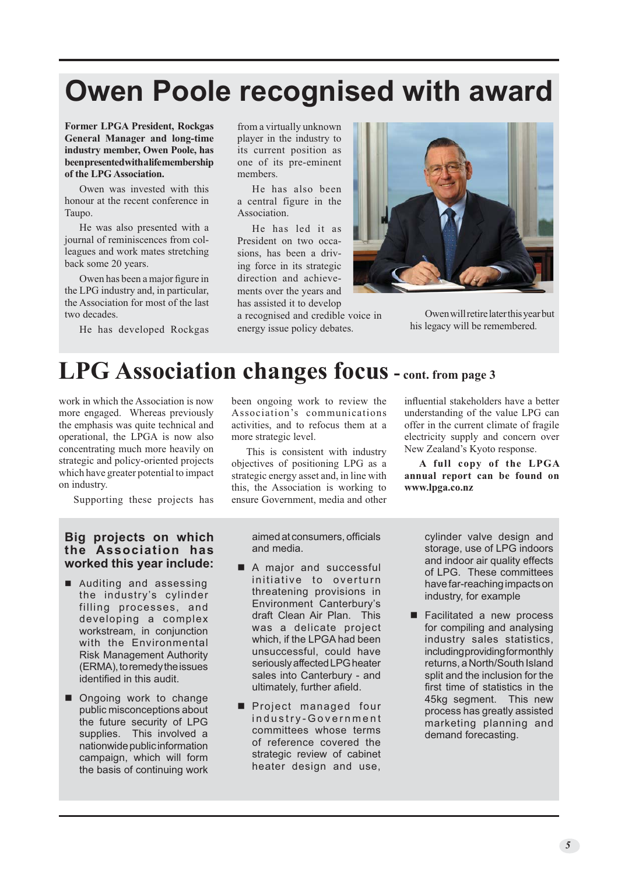# **Owen Poole recognised with award**

**Former LPGA President, Rockgas General Manager and long-time industry member, Owen Poole, has been presented with a life membership of the LPG Association.**

Owen was invested with this honour at the recent conference in Taupo.

He was also presented with a journal of reminiscences from colleagues and work mates stretching back some 20 years.

Owen has been a major figure in the LPG industry and, in particular, the Association for most of the last two decades.

He has developed Rockgas

from a virtually unknown player in the industry to its current position as one of its pre-eminent members.

He has also been a central figure in the Association.

He has led it as President on two occasions, has been a driving force in its strategic direction and achievements over the years and has assisted it to develop

a recognised and credible voice in energy issue policy debates.



Owen will retire later this year but his legacy will be remembered.

#### **LPG Association changes focus - cont. from page 3**

work in which the Association is now more engaged. Whereas previously the emphasis was quite technical and operational, the LPGA is now also concentrating much more heavily on strategic and policy-oriented projects which have greater potential to impact on industry.

Supporting these projects has

been ongoing work to review the Association's communications activities, and to refocus them at a more strategic level.

This is consistent with industry objectives of positioning LPG as a strategic energy asset and, in line with this, the Association is working to ensure Government, media and other influential stakeholders have a better understanding of the value LPG can offer in the current climate of fragile electricity supply and concern over New Zealand's Kyoto response.

**A full copy of the LPGA annual report can be found on www.lpga.co.nz**

#### **Big projects on which the Association has worked this year include:**

- Auditing and assessing the industry's cylinder filling processes, and developing a complex workstream, in conjunction with the Environmental Risk Management Authority (ERMA), to remedy the issues identified in this audit.
- Ongoing work to change public misconceptions about the future security of LPG supplies. This involved a nationwide public information campaign, which will form the basis of continuing work

aimed at consumers, officials and media.

- A major and successful initiative to overturn threatening provisions in Environment Canterbury's draft Clean Air Plan. This was a delicate project which, if the LPGA had been unsuccessful, could have seriously affected LPG heater sales into Canterbury - and ultimately, further afield.
- Project managed four industry-Government committees whose terms of reference covered the strategic review of cabinet heater design and use,

cylinder valve design and storage, use of LPG indoors and indoor air quality effects of LPG. These committees have far-reaching impacts on industry, for example

■ Facilitated a new process for compiling and analysing industry sales statistics, including providing for monthly returns, a North/South Island split and the inclusion for the first time of statistics in the 45kg segment. This new process has greatly assisted marketing planning and demand forecasting.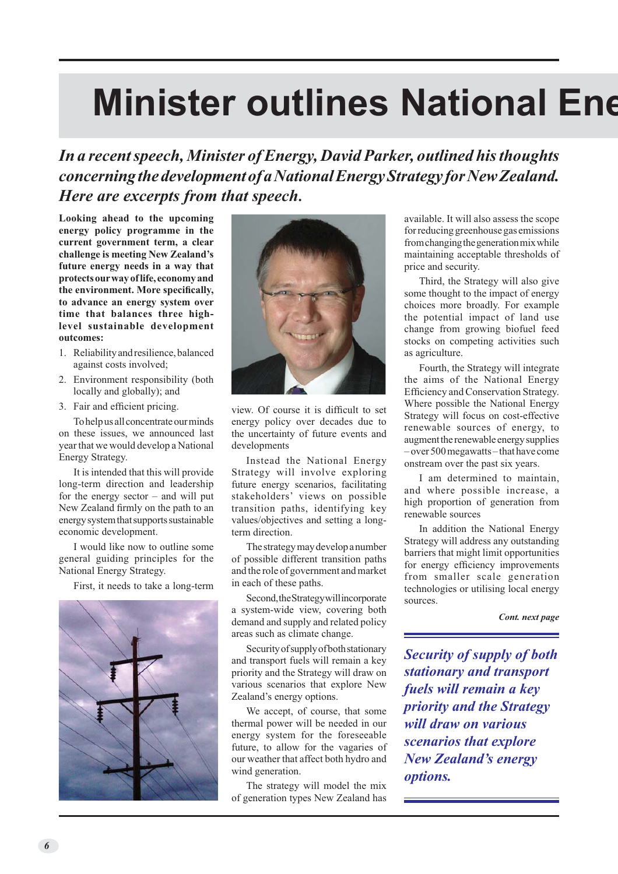# **Minister outlines National Ene**

*In a recent speech, Minister of Energy, David Parker, outlined his thoughts concerning the development of a National Energy Strategy for New Zealand. Here are excerpts from that speech***.**

**Looking ahead to the upcoming energy policy programme in the current government term, a clear challenge is meeting New Zealand's future energy needs in a way that protects our way of life, economy and the environment. More specifically, to advance an energy system over time that balances three highlevel sustainable development outcomes:** 

- 1. Reliability and resilience, balanced against costs involved;
- 2. Environment responsibility (both locally and globally); and
- 3. Fair and efficient pricing.

Tohelp us all concentrate our minds on these issues, we announced last year that we would develop a National Energy Strategy.

It is intended that this will provide long-term direction and leadership for the energy sector – and will put New Zealand firmly on the path to an energy system that supports sustainable economic development.

I would like now to outline some general guiding principles for the National Energy Strategy.

First, it needs to take a long-term





view. Of course it is difficult to set energy policy over decades due to the uncertainty of future events and developments

Instead the National Energy Strategy will involve exploring future energy scenarios, facilitating stakeholders' views on possible transition paths, identifying key values/objectives and setting a longterm direction.

The strategy may develop a number of possible different transition paths and the role of government and market in each of these paths.

Second, the Strategy will incorporate a system-wide view, covering both demand and supply and related policy areas such as climate change.

Security of supply of both stationary and transport fuels will remain a key priority and the Strategy will draw on various scenarios that explore New Zealand's energy options.

We accept, of course, that some thermal power will be needed in our energy system for the foreseeable future, to allow for the vagaries of our weather that affect both hydro and wind generation.

The strategy will model the mix of generation types New Zealand has available. It will also assess the scope for reducing greenhouse gas emissions from changing the generation mix while maintaining acceptable thresholds of price and security.

Third, the Strategy will also give some thought to the impact of energy choices more broadly. For example the potential impact of land use change from growing biofuel feed stocks on competing activities such as agriculture.

Fourth, the Strategy will integrate the aims of the National Energy Efficiency and Conservation Strategy. Where possible the National Energy Strategy will focus on cost-effective renewable sources of energy, to augment the renewable energy supplies – over 500 megawatts – that have come onstream over the past six years.

I am determined to maintain, and where possible increase, a high proportion of generation from renewable sources

In addition the National Energy Strategy will address any outstanding barriers that might limit opportunities for energy efficiency improvements from smaller scale generation technologies or utilising local energy sources.

*Cont. next page*

*Security of supply of both stationary and transport fuels will remain a key priority and the Strategy will draw on various scenarios that explore New Zealand's energy options.*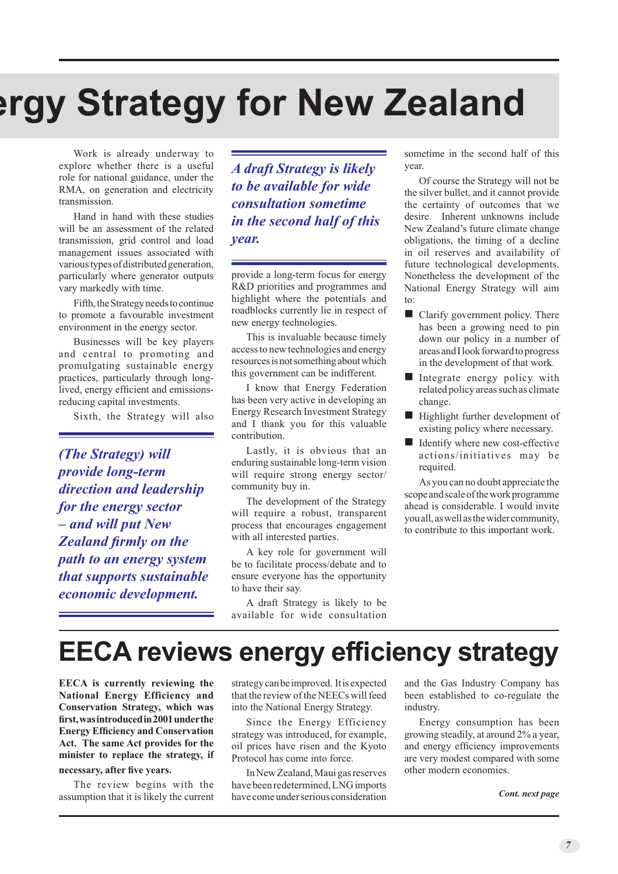# **ergy Strategy for New Zealand**

Work is already underway to explore whether there is a useful role for national guidance, under the RMA, on generation and electricity transmission.

Hand in hand with these studies will be an assessment of the related transmission, grid control and load management issues associated with various types of distributed generation, particularly where generator outputs vary markedly with time.

Fifth, the Strategy needs to continue to promote a favourable investment environment in the energy sector.

Businesses will be key players and central to promoting and promulgating sustainable energy practices, particularly through longlived, energy efficient and emissionsreducing capital investments.

Sixth, the Strategy will also

*(The Strategy) will provide long-term direction and leadership for the energy sector – and will put New Zealand firmly on the path to an energy system that supports sustainable economic development.* 

*A draft Strategy is likely to be available for wide consultation sometime in the second half of this year.*

provide a long-term focus for energy R&D priorities and programmes and highlight where the potentials and roadblocks currently lie in respect of new energy technologies.

This is invaluable because timely access to new technologies and energy resources is not something about which this government can be indifferent.

I know that Energy Federation has been very active in developing an Energy Research Investment Strategy and I thank you for this valuable contribution.

Lastly, it is obvious that an enduring sustainable long-term vision will require strong energy sector/ community buy in.

The development of the Strategy will require a robust, transparent process that encourages engagement with all interested parties.

A key role for government will be to facilitate process/debate and to ensure everyone has the opportunity to have their say.

A draft Strategy is likely to be available for wide consultation sometime in the second half of this year.

Of course the Strategy will not be the silver bullet, and it cannot provide the certainty of outcomes that we desire. Inherent unknowns include New Zealand's future climate change obligations, the timing of a decline in oil reserves and availability of future technological developments. Nonetheless the development of the National Energy Strategy will aim to:

- $\blacksquare$  Clarify government policy. There has been a growing need to pin down our policy in a number of areas and I look forward to progress in the development of that work.
- $\blacksquare$  Integrate energy policy with related policy areas such as climate change.
- $\blacksquare$  Highlight further development of existing policy where necessary.
- Identify where new cost-effective actions/initiatives may be required.

As you can no doubt appreciate the scope and scale of the work programme ahead is considerable. I would invite you all, as well as the wider community, to contribute to this important work.

### **EECA reviews energy efficiency strategy**

**EECA is currently reviewing the National Energy Efficiency and Conservation Strategy, which was first, was introduced in 2001 under the Energy Efficiency and Conservation Act. The same Act provides for the minister to replace the strategy, if** 

#### **necessary, after five years.**

The review begins with the assumption that it is likely the current strategy can be improved. It is expected that the review of the NEECs will feed into the National Energy Strategy.

Since the Energy Efficiency strategy was introduced, for example, oil prices have risen and the Kyoto Protocol has come into force.

In New Zealand, Maui gas reserves have been redetermined, LNG imports have come under serious consideration and the Gas Industry Company has been established to co-regulate the industry.

Energy consumption has been growing steadily, at around 2% a year, and energy efficiency improvements are very modest compared with some other modern economies.

#### *Cont. next page*